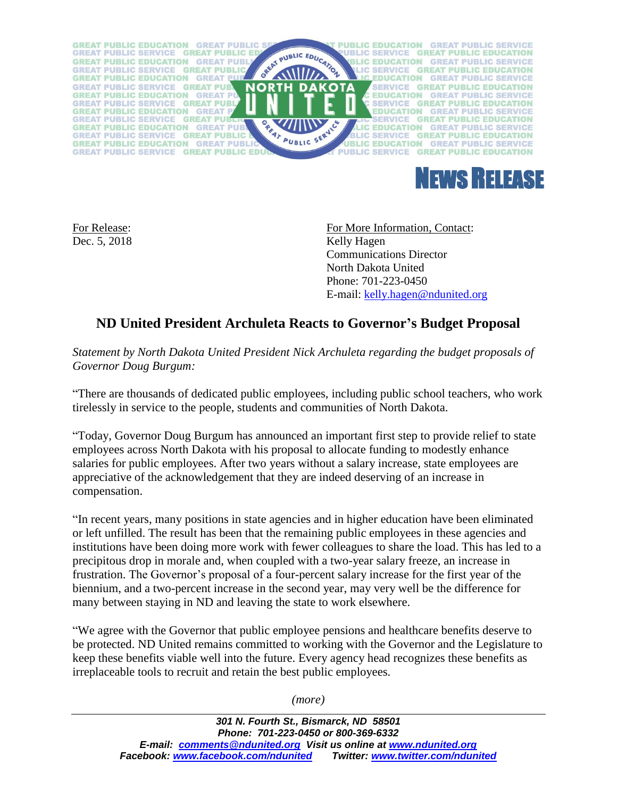



Dec. 5, 2018 Kelly Hagen

For Release: For More Information, Contact: Communications Director North Dakota United Phone: 701-223-0450 E-mail: [kelly.hagen@ndunited.org](mailto:kelly.hagen@ndunited.org)

## **ND United President Archuleta Reacts to Governor's Budget Proposal**

*Statement by North Dakota United President Nick Archuleta regarding the budget proposals of Governor Doug Burgum:*

"There are thousands of dedicated public employees, including public school teachers, who work tirelessly in service to the people, students and communities of North Dakota.

"Today, Governor Doug Burgum has announced an important first step to provide relief to state employees across North Dakota with his proposal to allocate funding to modestly enhance salaries for public employees. After two years without a salary increase, state employees are appreciative of the acknowledgement that they are indeed deserving of an increase in compensation.

"In recent years, many positions in state agencies and in higher education have been eliminated or left unfilled. The result has been that the remaining public employees in these agencies and institutions have been doing more work with fewer colleagues to share the load. This has led to a precipitous drop in morale and, when coupled with a two-year salary freeze, an increase in frustration. The Governor's proposal of a four-percent salary increase for the first year of the biennium, and a two-percent increase in the second year, may very well be the difference for many between staying in ND and leaving the state to work elsewhere.

"We agree with the Governor that public employee pensions and healthcare benefits deserve to be protected. ND United remains committed to working with the Governor and the Legislature to keep these benefits viable well into the future. Every agency head recognizes these benefits as irreplaceable tools to recruit and retain the best public employees.

*(more)*